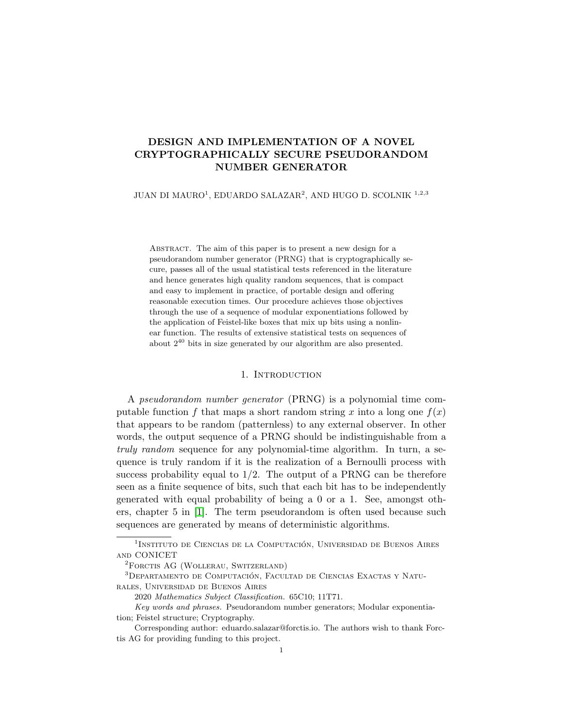# DESIGN AND IMPLEMENTATION OF A NOVEL CRYPTOGRAPHICALLY SECURE PSEUDORANDOM NUMBER GENERATOR

JUAN DI MAURO $^1$ , EDUARDO SALAZAR $^2$ , AND HUGO D. SCOLNIK  $^{1,2,3}$ 

Abstract. The aim of this paper is to present a new design for a pseudorandom number generator (PRNG) that is cryptographically secure, passes all of the usual statistical tests referenced in the literature and hence generates high quality random sequences, that is compact and easy to implement in practice, of portable design and offering reasonable execution times. Our procedure achieves those objectives through the use of a sequence of modular exponentiations followed by the application of Feistel-like boxes that mix up bits using a nonlinear function. The results of extensive statistical tests on sequences of about  $2^{40}$  bits in size generated by our algorithm are also presented.

# 1. INTRODUCTION

A pseudorandom number generator (PRNG) is a polynomial time computable function f that maps a short random string x into a long one  $f(x)$ that appears to be random (patternless) to any external observer. In other words, the output sequence of a PRNG should be indistinguishable from a truly random sequence for any polynomial-time algorithm. In turn, a sequence is truly random if it is the realization of a Bernoulli process with success probability equal to  $1/2$ . The output of a PRNG can be therefore seen as a finite sequence of bits, such that each bit has to be independently generated with equal probability of being a 0 or a 1. See, amongst others, chapter 5 in [\[1\]](#page-21-0). The term pseudorandom is often used because such sequences are generated by means of deterministic algorithms.

<sup>&</sup>lt;sup>1</sup>Instituto de Ciencias de la Computación. Universidad de Buenos Aires and CONICET

<sup>&</sup>lt;sup>2</sup>FORCTIS AG (WOLLERAU, SWITZERLAND)

 $3$ Departamento de Computación, Facultad de Ciencias Exactas y Naturales, Universidad de Buenos Aires

<sup>2020</sup> Mathematics Subject Classification. 65C10; 11T71.

Key words and phrases. Pseudorandom number generators; Modular exponentiation; Feistel structure; Cryptography.

Corresponding author: eduardo.salazar@forctis.io. The authors wish to thank Forctis AG for providing funding to this project.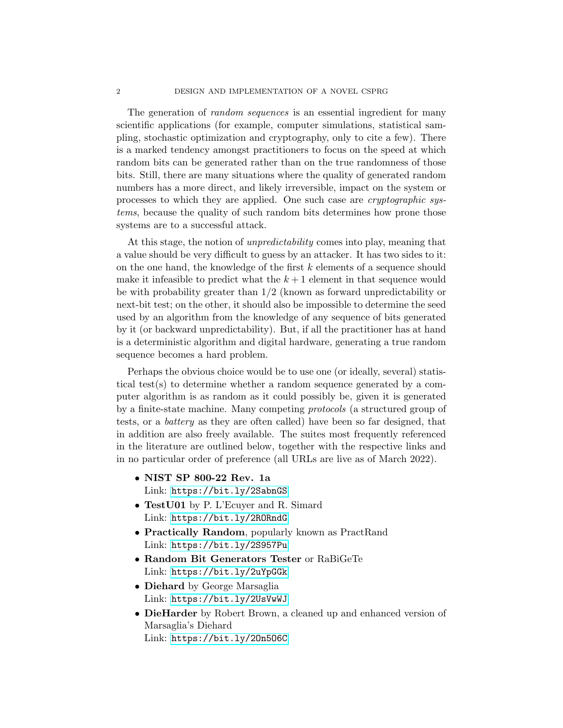The generation of *random sequences* is an essential ingredient for many scientific applications (for example, computer simulations, statistical sampling, stochastic optimization and cryptography, only to cite a few). There is a marked tendency amongst practitioners to focus on the speed at which random bits can be generated rather than on the true randomness of those bits. Still, there are many situations where the quality of generated random numbers has a more direct, and likely irreversible, impact on the system or processes to which they are applied. One such case are cryptographic systems, because the quality of such random bits determines how prone those systems are to a successful attack.

At this stage, the notion of unpredictability comes into play, meaning that a value should be very difficult to guess by an attacker. It has two sides to it: on the one hand, the knowledge of the first  $k$  elements of a sequence should make it infeasible to predict what the  $k+1$  element in that sequence would be with probability greater than 1/2 (known as forward unpredictability or next-bit test; on the other, it should also be impossible to determine the seed used by an algorithm from the knowledge of any sequence of bits generated by it (or backward unpredictability). But, if all the practitioner has at hand is a deterministic algorithm and digital hardware, generating a true random sequence becomes a hard problem.

Perhaps the obvious choice would be to use one (or ideally, several) statistical test(s) to determine whether a random sequence generated by a computer algorithm is as random as it could possibly be, given it is generated by a finite-state machine. Many competing protocols (a structured group of tests, or a battery as they are often called) have been so far designed, that in addition are also freely available. The suites most frequently referenced in the literature are outlined below, together with the respective links and in no particular order of preference (all URLs are live as of March 2022).

- NIST SP 800-22 Rev. 1a Link: <https://bit.ly/2SabnGS>
- TestU01 by P. L'Ecuyer and R. Simard Link: <https://bit.ly/2RORndG>
- Practically Random, popularly known as PractRand Link: <https://bit.ly/2S957Pu>
- Random Bit Generators Tester or RaBiGeTe Link: <https://bit.ly/2uYpGGk>
- Diehard by George Marsaglia Link: <https://bit.ly/2UsVwWJ>
- DieHarder by Robert Brown, a cleaned up and enhanced version of Marsaglia's Diehard Link: <https://bit.ly/2On5O6C>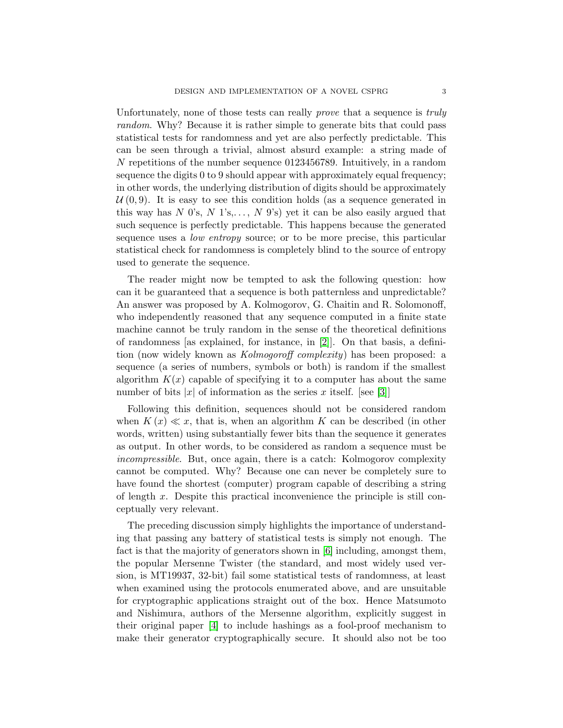Unfortunately, none of those tests can really *prove* that a sequence is *truly* random. Why? Because it is rather simple to generate bits that could pass statistical tests for randomness and yet are also perfectly predictable. This can be seen through a trivial, almost absurd example: a string made of N repetitions of the number sequence 0123456789. Intuitively, in a random sequence the digits 0 to 9 should appear with approximately equal frequency; in other words, the underlying distribution of digits should be approximately  $U(0, 9)$ . It is easy to see this condition holds (as a sequence generated in this way has N  $0's, N_1's, \ldots, N_9's$  yet it can be also easily argued that such sequence is perfectly predictable. This happens because the generated sequence uses a *low entropy* source; or to be more precise, this particular statistical check for randomness is completely blind to the source of entropy used to generate the sequence.

The reader might now be tempted to ask the following question: how can it be guaranteed that a sequence is both patternless and unpredictable? An answer was proposed by A. Kolmogorov, G. Chaitin and R. Solomonoff, who independently reasoned that any sequence computed in a finite state machine cannot be truly random in the sense of the theoretical definitions of randomness [as explained, for instance, in  $[2]$ ]. On that basis, a definition (now widely known as Kolmogoroff complexity) has been proposed: a sequence (a series of numbers, symbols or both) is random if the smallest algorithm  $K(x)$  capable of specifying it to a computer has about the same number of bits |x| of information as the series x itself. [see [\[3\]](#page-21-2)]

Following this definition, sequences should not be considered random when  $K(x) \ll x$ , that is, when an algorithm K can be described (in other words, written) using substantially fewer bits than the sequence it generates as output. In other words, to be considered as random a sequence must be incompressible. But, once again, there is a catch: Kolmogorov complexity cannot be computed. Why? Because one can never be completely sure to have found the shortest (computer) program capable of describing a string of length  $x$ . Despite this practical inconvenience the principle is still conceptually very relevant.

The preceding discussion simply highlights the importance of understanding that passing any battery of statistical tests is simply not enough. The fact is that the majority of generators shown in [\[6\]](#page-21-3) including, amongst them, the popular Mersenne Twister (the standard, and most widely used version, is MT19937, 32-bit) fail some statistical tests of randomness, at least when examined using the protocols enumerated above, and are unsuitable for cryptographic applications straight out of the box. Hence Matsumoto and Nishimura, authors of the Mersenne algorithm, explicitly suggest in their original paper [\[4\]](#page-21-4) to include hashings as a fool-proof mechanism to make their generator cryptographically secure. It should also not be too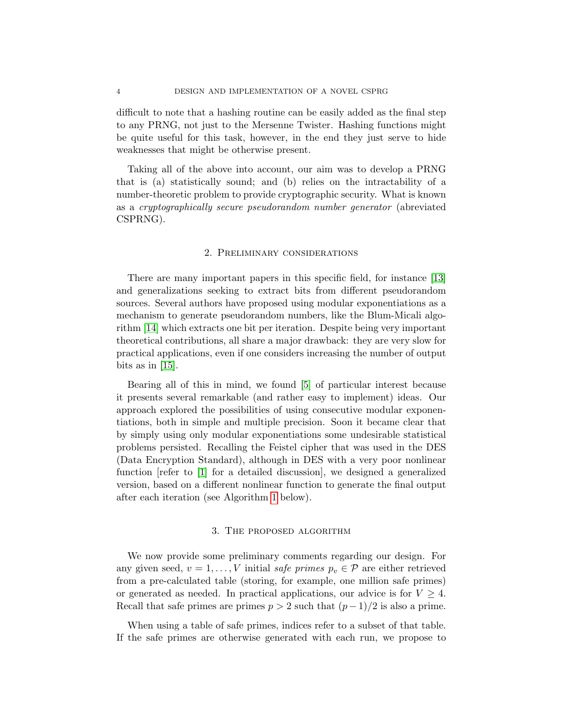difficult to note that a hashing routine can be easily added as the final step to any PRNG, not just to the Mersenne Twister. Hashing functions might be quite useful for this task, however, in the end they just serve to hide weaknesses that might be otherwise present.

Taking all of the above into account, our aim was to develop a PRNG that is (a) statistically sound; and (b) relies on the intractability of a number-theoretic problem to provide cryptographic security. What is known as a cryptographically secure pseudorandom number generator (abreviated CSPRNG).

# 2. Preliminary considerations

There are many important papers in this specific field, for instance [\[13\]](#page-21-5) and generalizations seeking to extract bits from different pseudorandom sources. Several authors have proposed using modular exponentiations as a mechanism to generate pseudorandom numbers, like the Blum-Micali algorithm [\[14\]](#page-21-6) which extracts one bit per iteration. Despite being very important theoretical contributions, all share a major drawback: they are very slow for practical applications, even if one considers increasing the number of output bits as in  $|15|$ .

Bearing all of this in mind, we found [\[5\]](#page-21-8) of particular interest because it presents several remarkable (and rather easy to implement) ideas. Our approach explored the possibilities of using consecutive modular exponentiations, both in simple and multiple precision. Soon it became clear that by simply using only modular exponentiations some undesirable statistical problems persisted. Recalling the Feistel cipher that was used in the DES (Data Encryption Standard), although in DES with a very poor nonlinear function [refer to [\[1\]](#page-21-0) for a detailed discussion], we designed a generalized version, based on a different nonlinear function to generate the final output after each iteration (see Algorithm [1](#page-5-0) below).

# 3. The proposed algorithm

We now provide some preliminary comments regarding our design. For any given seed,  $v = 1, ..., V$  initial safe primes  $p_v \in \mathcal{P}$  are either retrieved from a pre-calculated table (storing, for example, one million safe primes) or generated as needed. In practical applications, our advice is for  $V \geq 4$ . Recall that safe primes are primes  $p > 2$  such that  $(p-1)/2$  is also a prime.

When using a table of safe primes, indices refer to a subset of that table. If the safe primes are otherwise generated with each run, we propose to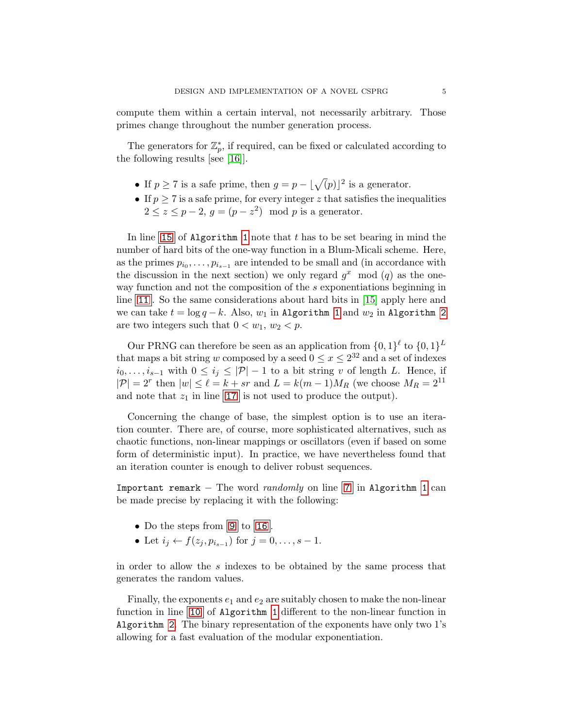compute them within a certain interval, not necessarily arbitrary. Those primes change throughout the number generation process.

The generators for  $\mathbb{Z}_p^*$ , if required, can be fixed or calculated according to the following results [see [\[16\]](#page-21-9)].

- If  $p \ge 7$  is a safe prime, then  $q = p |\sqrt(p)|^2$  is a generator.
- If  $p \geq 7$  is a safe prime, for every integer z that satisfies the inequalities  $2 \leq z \leq p-2$ ,  $g = (p-z^2) \mod p$  is a generator.

In line [15](#page-5-1) of Algorithm [1](#page-5-0) note that t has to be set bearing in mind the number of hard bits of the one-way function in a Blum-Micali scheme. Here, as the primes  $p_{i_0}, \ldots, p_{i_{s-1}}$  are intended to be small and (in accordance with the discussion in the next section) we only regard  $g^x \mod (q)$  as the oneway function and not the composition of the s exponentiations beginning in line  $|11|$  $|11|$  $|11|$ . So the same considerations about hard bits in [\[15\]](#page-21-7) apply here and we can take  $t = \log q - k$ . Also,  $w_1$  in Algorithm [1](#page-5-0) and  $w_2$  in Algorithm [2](#page-6-0) are two integers such that  $0 < w_1, w_2 < p$ .

Our PRNG can therefore be seen as an application from  $\{0,1\}^{\ell}$  to  $\{0,1\}^L$ that maps a bit string w composed by a seed  $0 \le x \le 2^{32}$  and a set of indexes  $i_0, \ldots, i_{s-1}$  with  $0 \le i_j \le |\mathcal{P}| - 1$  to a bit string v of length L. Hence, if  $|\mathcal{P}| = 2^r$  then  $|w| \leq \ell = k + sr$  and  $L = k(m-1)M_R$  (we choose  $M_R = 2^{11}$ ) and note that  $z_1$  in line [17](#page-5-3) is not used to produce the output).

Concerning the change of base, the simplest option is to use an iteration counter. There are, of course, more sophisticated alternatives, such as chaotic functions, non-linear mappings or oscillators (even if based on some form of deterministic input). In practice, we have nevertheless found that an iteration counter is enough to deliver robust sequences.

Important remark – The word *randomly* on line  $|7|$  $|7|$  $|7|$  in Algorithm [1](#page-5-0) can be made precise by replacing it with the following:

- Do the steps from  $\boxed{9}$  $\boxed{9}$  $\boxed{9}$  to  $\boxed{16}$  $\boxed{16}$  $\boxed{16}$ .
- Let  $i_j \leftarrow f(z_j, p_{i_{s-1}})$  for  $j = 0, ..., s 1$ .

in order to allow the s indexes to be obtained by the same process that generates the random values.

Finally, the exponents  $e_1$  and  $e_2$  are suitably chosen to make the non-linear function in line [10](#page-5-7) of Algorithm [1](#page-5-0) different to the non-linear function in Algorithm [2](#page-6-0). The binary representation of the exponents have only two 1's allowing for a fast evaluation of the modular exponentiation.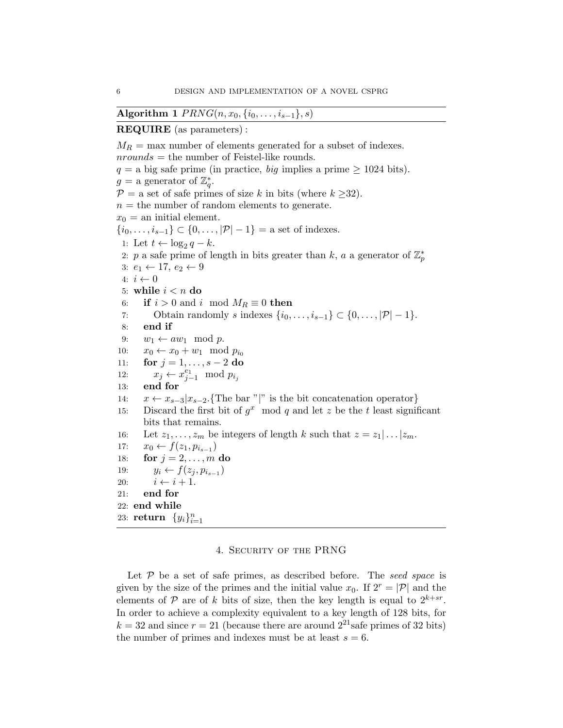<span id="page-5-0"></span>Algorithm 1  $PRNG(n, x_0, \{i_0, \ldots, i_{s-1}\}, s)$ 

# REQUIRE (as parameters) :

<span id="page-5-5"></span><span id="page-5-4"></span> $M_R$  = max number of elements generated for a subset of indexes.  $nrounds =$  the number of Feistel-like rounds.  $q = a$  big safe prime (in practice, *big* implies a prime  $\geq 1024$  bits).  $g = a$  generator of  $\mathbb{Z}_q^*$ .  $\mathcal{P} =$  a set of safe primes of size k in bits (where  $k \geq 32$ ).  $n =$  the number of random elements to generate.  $x_0 =$  an initial element.  $\{i_0, \ldots, i_{s-1}\} \subset \{0, \ldots, |\mathcal{P}|-1\} = \text{a set of indexes.}$ 1: Let  $t \leftarrow \log_2 q - k$ . 2: p a safe prime of length in bits greater than k, a a generator of  $\mathbb{Z}_p^*$ 3:  $e_1 \leftarrow 17, e_2 \leftarrow 9$ 4:  $i \leftarrow 0$ 5: while  $i < n$  do 6: if  $i > 0$  and i mod  $M_R \equiv 0$  then 7: Obtain randomly s indexes  $\{i_0, \ldots, i_{s-1}\} \subset \{0, \ldots, |\mathcal{P}|-1\}.$ 8: end if 9:  $w_1 \leftarrow aw_1 \mod p$ . 10:  $x_0 \leftarrow x_0 + w_1 \mod p_{i_0}$ 11: **for**  $j = 1, ..., s - 2$  do 12:  $x_j \leftarrow x_{j-1}^{e_1} \mod p_{i_j}$ 13: end for 14:  $x \leftarrow x_{s-3} | x_{s-2}$ . {The bar "|" is the bit concatenation operator} 15: Discard the first bit of  $g^x$  mod q and let z be the t least significant bits that remains. 16: Let  $z_1, \ldots, z_m$  be integers of length k such that  $z = z_1 | \ldots | z_m$ . 17:  $x_0 \leftarrow f(z_1, p_{i_{s-1}})$ 18: **for**  $j = 2, ..., m$  **do** 19:  $y_i \leftarrow f(z_j, p_{i_{s-1}})$ 20:  $i \leftarrow i + 1$ . 21: end for 22: end while 23: return  $\{y_i\}_{i=1}^n$ 

# <span id="page-5-7"></span><span id="page-5-6"></span><span id="page-5-3"></span><span id="page-5-2"></span><span id="page-5-1"></span>4. Security of the PRNG

Let  $P$  be a set of safe primes, as described before. The seed space is given by the size of the primes and the initial value  $x_0$ . If  $2^r = |\mathcal{P}|$  and the elements of  $P$  are of k bits of size, then the key length is equal to  $2^{k+sr}$ . In order to achieve a complexity equivalent to a key length of 128 bits, for  $k = 32$  and since  $r = 21$  (because there are around  $2^{21}$  safe primes of 32 bits) the number of primes and indexes must be at least  $s = 6$ .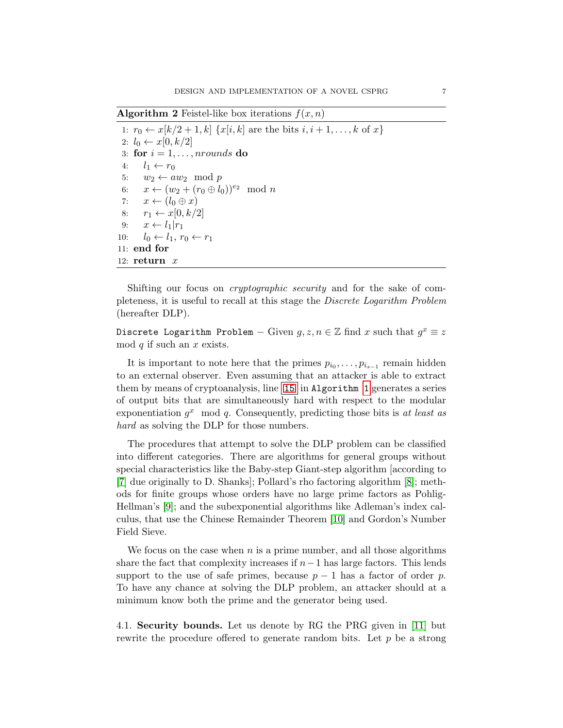<span id="page-6-0"></span>**Algorithm 2** Feistel-like box iterations  $f(x, n)$ 

1:  $r_0 \leftarrow x[k/2 + 1, k] \{x[i, k] \text{ are the bits } i, i + 1, \ldots, k \text{ of } x\}$ 2:  $l_0 \leftarrow x[0, k/2]$ 3: for  $i = 1, \ldots,$  nrounds do 4:  $l_1 \leftarrow r_0$ 5:  $w_2 \leftarrow aw_2 \mod p$ 6:  $x \leftarrow (w_2 + (r_0 \oplus l_0))^{e_2} \mod n$ 7:  $x \leftarrow (l_0 \oplus x)$ 8:  $r_1 \leftarrow x[0, k/2]$ 9:  $x \leftarrow l_1|r_1$ 10:  $l_0 \leftarrow l_1, r_0 \leftarrow r_1$ 11: end for 12:  $return x$ 

Shifting our focus on cryptographic security and for the sake of completeness, it is useful to recall at this stage the Discrete Logarithm Problem (hereafter DLP).

Discrete Logarithm Problem  $-$  Given  $g, z, n \in \mathbb{Z}$  find  $x$  such that  $g^x \equiv z$ mod  $q$  if such an  $x$  exists.

It is important to note here that the primes  $p_{i_0}, \ldots, p_{i_{s-1}}$  remain hidden to an external observer. Even assuming that an attacker is able to extract them by means of cryptoanalysis, line  $|15|$  $|15|$  $|15|$  in Algorithm [1](#page-5-0) generates a series of output bits that are simultaneously hard with respect to the modular exponentiation  $g^x$  mod q. Consequently, predicting those bits is at least as hard as solving the DLP for those numbers.

The procedures that attempt to solve the DLP problem can be classified into different categories. There are algorithms for general groups without special characteristics like the Baby-step Giant-step algorithm [according to [\[7\]](#page-21-10) due originally to D. Shanks]; Pollard's rho factoring algorithm [\[8\]](#page-21-11); methods for finite groups whose orders have no large prime factors as Pohlig-Hellman's [\[9\]](#page-21-12); and the subexponential algorithms like Adleman's index calculus, that use the Chinese Remainder Theorem [\[10\]](#page-21-13) and Gordon's Number Field Sieve.

We focus on the case when  $n$  is a prime number, and all those algorithms share the fact that complexity increases if  $n-1$  has large factors. This lends support to the use of safe primes, because  $p-1$  has a factor of order p. To have any chance at solving the DLP problem, an attacker should at a minimum know both the prime and the generator being used.

4.1. Security bounds. Let us denote by RG the PRG given in [\[11\]](#page-21-14) but rewrite the procedure offered to generate random bits. Let  $p$  be a strong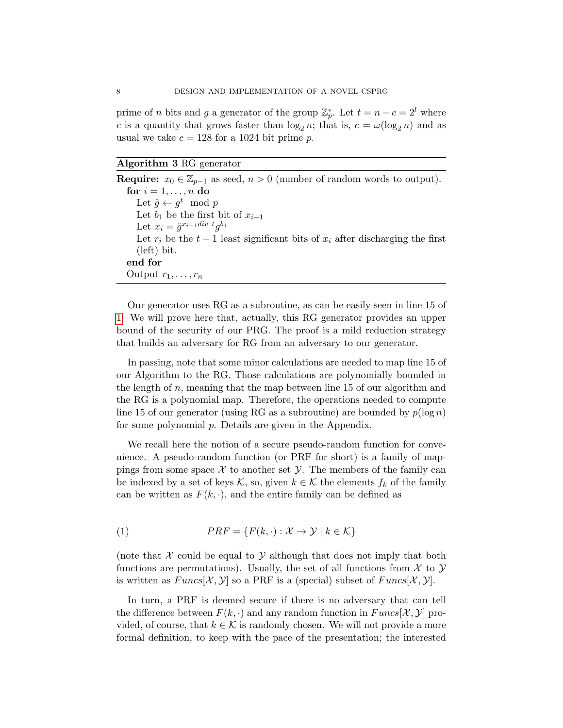prime of *n* bits and *g* a generator of the group  $\mathbb{Z}_p^*$ . Let  $t = n - c = 2^l$  where c is a quantity that grows faster than  $\log_2 n$ ; that is,  $c = \omega(\log_2 n)$  and as usual we take  $c = 128$  for a 1024 bit prime p.

Algorithm 3 RG generator

Require:  $x_0 \in \mathbb{Z}_{p-1}$  as seed,  $n > 0$  (number of random words to output). for  $i = 1, \ldots, n$  do Let  $\hat{g} \leftarrow g^t \mod p$ Let  $b_1$  be the first bit of  $x_{i-1}$ Let  $x_i = \hat{g}^{x_{i-1}div t} g^{b_1}$ Let  $r_i$  be the  $t - 1$  least significant bits of  $x_i$  after discharging the first (left) bit. end for Output  $r_1, \ldots, r_n$ 

Our generator uses RG as a subroutine, as can be easily seen in line 15 of [1.](#page-5-0) We will prove here that, actually, this RG generator provides an upper bound of the security of our PRG. The proof is a mild reduction strategy that builds an adversary for RG from an adversary to our generator.

In passing, note that some minor calculations are needed to map line 15 of our Algorithm to the RG. Those calculations are polynomially bounded in the length of  $n$ , meaning that the map between line 15 of our algorithm and the RG is a polynomial map. Therefore, the operations needed to compute line 15 of our generator (using RG as a subroutine) are bounded by  $p(\log n)$ for some polynomial p. Details are given in the Appendix.

We recall here the notion of a secure pseudo-random function for convenience. A pseudo-random function (or PRF for short) is a family of mappings from some space  $\mathcal X$  to another set  $\mathcal Y$ . The members of the family can be indexed by a set of keys K, so, given  $k \in \mathcal{K}$  the elements  $f_k$  of the family can be written as  $F(k, \cdot)$ , and the entire family can be defined as

(1) 
$$
PRF = \{F(k, \cdot) : \mathcal{X} \to \mathcal{Y} \mid k \in \mathcal{K}\}
$$

(note that  $X$  could be equal to  $Y$  although that does not imply that both functions are permutations). Usually, the set of all functions from  $\mathcal X$  to  $\mathcal Y$ is written as  $Funcs[\mathcal{X}, \mathcal{Y}]$  so a PRF is a (special) subset of  $Funcs[\mathcal{X}, \mathcal{Y}]$ .

In turn, a PRF is deemed secure if there is no adversary that can tell the difference between  $F(k, \cdot)$  and any random function in  $Funcs[\mathcal{X}, \mathcal{Y}]$  provided, of course, that  $k \in \mathcal{K}$  is randomly chosen. We will not provide a more formal definition, to keep with the pace of the presentation; the interested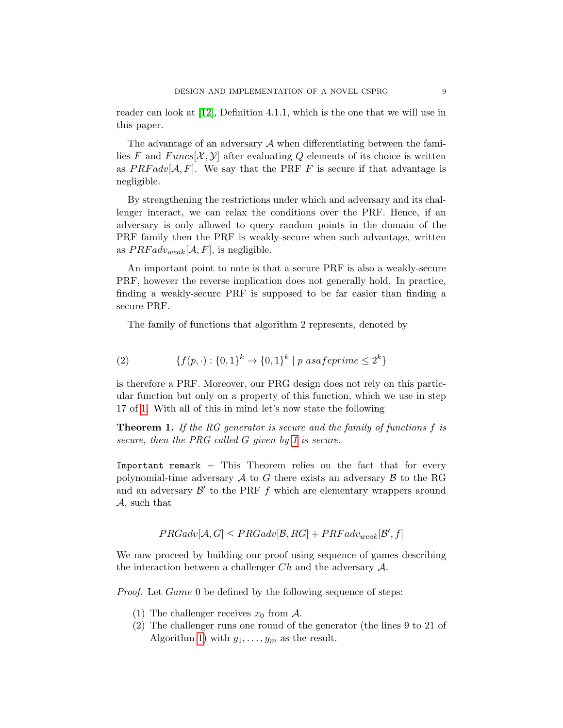reader can look at [\[12\]](#page-21-15), Definition 4.1.1, which is the one that we will use in this paper.

The advantage of an adversary  $A$  when differentiating between the families F and  $Funcs[\mathcal{X}, \mathcal{Y}]$  after evaluating Q elements of its choice is written as  $PRFadv[A, F]$ . We say that the PRF F is secure if that advantage is negligible.

By strengthening the restrictions under which and adversary and its challenger interact, we can relax the conditions over the PRF. Hence, if an adversary is only allowed to query random points in the domain of the PRF family then the PRF is weakly-secure when such advantage, written as  $PRFadv_{weak}[\mathcal{A}, F]$ , is negligible.

An important point to note is that a secure PRF is also a weakly-secure PRF, however the reverse implication does not generally hold. In practice, finding a weakly-secure PRF is supposed to be far easier than finding a secure PRF.

The family of functions that algorithm 2 represents, denoted by

(2) 
$$
\{f(p, \cdot) : \{0,1\}^k \to \{0,1\}^k \mid p \text{ as a} \text{f} \text{e} \text{prime} \leq 2^k\}
$$

is therefore a PRF. Moreover, our PRG design does not rely on this particular function but only on a property of this function, which we use in step 17 of [1.](#page-5-0) With all of this in mind let's now state the following

**Theorem 1.** If the RG generator is secure and the family of functions f is secure, then the PRG called G given by [1](#page-5-0) is secure.

Important remark – This Theorem relies on the fact that for every polynomial-time adversary  $A$  to G there exists an adversary  $B$  to the RG and an adversary  $\mathcal{B}'$  to the PRF  $f$  which are elementary wrappers around A, such that

$$
PRGadv[\mathcal{A}, G] \leq PRGadv[\mathcal{B}, RG] + PRFadv_{weak}[\mathcal{B}', f]
$$

We now proceed by building our proof using sequence of games describing the interaction between a challenger  $Ch$  and the adversary  $\mathcal{A}$ .

Proof. Let Game 0 be defined by the following sequence of steps:

- (1) The challenger receives  $x_0$  from A.
- (2) The challenger runs one round of the generator (the lines 9 to 21 of Algorithm [1\)](#page-5-0) with  $y_1, \ldots, y_m$  as the result.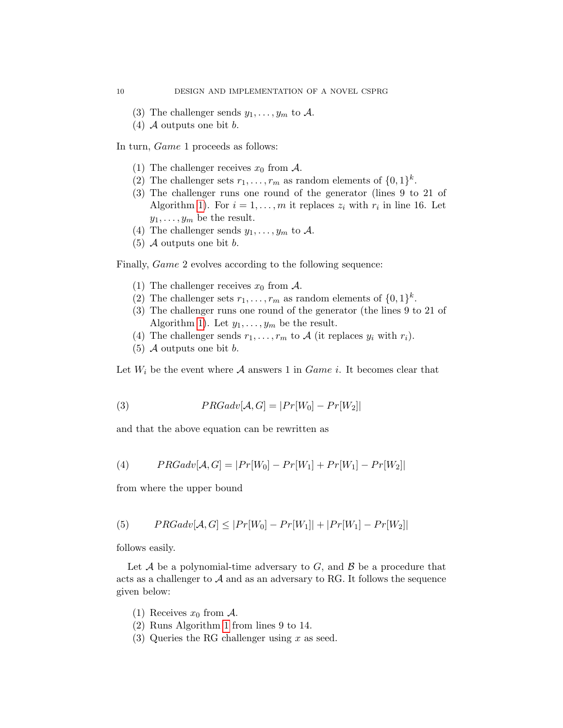- (3) The challenger sends  $y_1, \ldots, y_m$  to A.
- $(4)$  A outputs one bit b.

In turn, Game 1 proceeds as follows:

- (1) The challenger receives  $x_0$  from A.
- (2) The challenger sets  $r_1, \ldots, r_m$  as random elements of  $\{0, 1\}^k$ .
- (3) The challenger runs one round of the generator (lines 9 to 21 of Algorithm [1\)](#page-5-0). For  $i = 1, ..., m$  it replaces  $z_i$  with  $r_i$  in line 16. Let  $y_1, \ldots, y_m$  be the result.
- (4) The challenger sends  $y_1, \ldots, y_m$  to A.
- $(5)$  A outputs one bit b.

Finally, Game 2 evolves according to the following sequence:

- (1) The challenger receives  $x_0$  from A.
- (2) The challenger sets  $r_1, \ldots, r_m$  as random elements of  $\{0, 1\}^k$ .
- (3) The challenger runs one round of the generator (the lines 9 to 21 of Algorithm [1\)](#page-5-0). Let  $y_1, \ldots, y_m$  be the result.
- (4) The challenger sends  $r_1, \ldots, r_m$  to A (it replaces  $y_i$  with  $r_i$ ).
- $(5)$  A outputs one bit b.

Let  $W_i$  be the event where A answers 1 in *Game i*. It becomes clear that

(3) 
$$
PRGadv[\mathcal{A}, G] = |Pr[W_0] - Pr[W_2]|
$$

and that the above equation can be rewritten as

(4) 
$$
PRGadv[\mathcal{A}, G] = |Pr[W_0] - Pr[W_1] + Pr[W_1] - Pr[W_2]|
$$

from where the upper bound

<span id="page-9-0"></span>(5) 
$$
PRGadv[\mathcal{A}, G] \le |Pr[W_0] - Pr[W_1]| + |Pr[W_1] - Pr[W_2]|
$$

follows easily.

Let  $A$  be a polynomial-time adversary to  $G$ , and  $B$  be a procedure that acts as a challenger to  $A$  and as an adversary to RG. It follows the sequence given below:

- (1) Receives  $x_0$  from A.
- (2) Runs Algorithm [1](#page-5-0) from lines 9 to 14.
- (3) Queries the RG challenger using  $x$  as seed.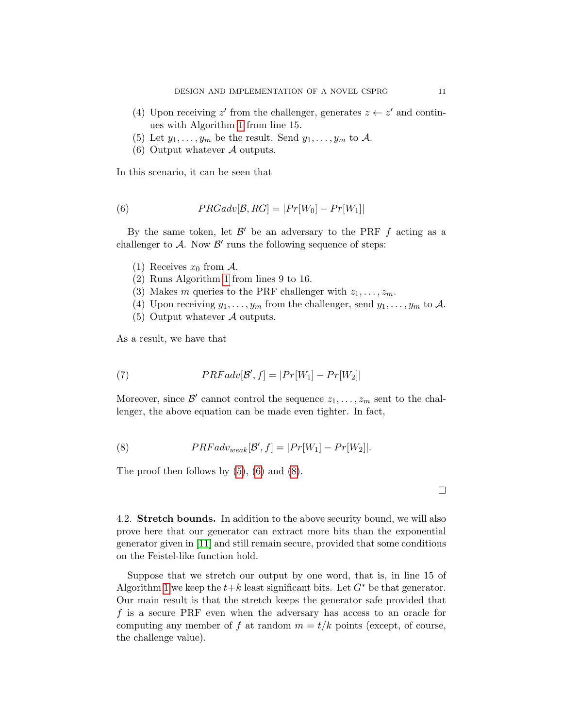- (4) Upon receiving z' from the challenger, generates  $z \leftarrow z'$  and continues with Algorithm [1](#page-5-0) from line 15.
- (5) Let  $y_1, \ldots, y_m$  be the result. Send  $y_1, \ldots, y_m$  to A.
- (6) Output whatever  $\mathcal A$  outputs.

In this scenario, it can be seen that

<span id="page-10-0"></span>(6) 
$$
PRGadv[\mathcal{B}, RG] = |Pr[W_0] - Pr[W_1]
$$

By the same token, let  $\mathcal{B}'$  be an adversary to the PRF  $f$  acting as a challenger to  $A$ . Now  $B'$  runs the following sequence of steps:

- (1) Receives  $x_0$  from A.
- (2) Runs Algorithm [1](#page-5-0) from lines 9 to 16.
- (3) Makes m queries to the PRF challenger with  $z_1, \ldots, z_m$ .
- (4) Upon receiving  $y_1, \ldots, y_m$  from the challenger, send  $y_1, \ldots, y_m$  to A.
- (5) Output whatever  $\mathcal A$  outputs.

As a result, we have that

(7) 
$$
PRFadv[\mathcal{B}', f] = |Pr[W_1] - Pr[W_2]|
$$

Moreover, since  $\mathcal{B}'$  cannot control the sequence  $z_1, \ldots, z_m$  sent to the challenger, the above equation can be made even tighter. In fact,

<span id="page-10-1"></span>(8) 
$$
PRFadv_{weak}[\mathcal{B}', f] = |Pr[W_1] - Pr[W_2]|.
$$

The proof then follows by  $(5)$ ,  $(6)$  and  $(8)$ .

4.2. Stretch bounds. In addition to the above security bound, we will also prove here that our generator can extract more bits than the exponential generator given in [\[11\]](#page-21-14) and still remain secure, provided that some conditions on the Feistel-like function hold.

Suppose that we stretch our output by one word, that is, in line 15 of Algorithm [1](#page-5-0) we keep the  $t+k$  least significant bits. Let  $G^*$  be that generator. Our main result is that the stretch keeps the generator safe provided that f is a secure PRF even when the adversary has access to an oracle for computing any member of f at random  $m = t/k$  points (except, of course, the challenge value).

□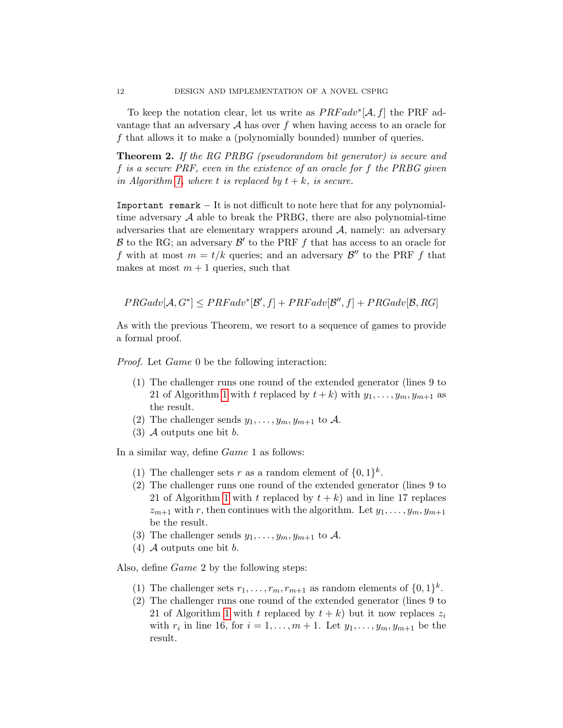To keep the notation clear, let us write as  $PRFadv*[A, f]$  the PRF advantage that an adversary  $A$  has over f when having access to an oracle for f that allows it to make a (polynomially bounded) number of queries.

Theorem 2. If the RG PRBG (pseudorandom bit generator) is secure and f is a secure PRF, even in the existence of an oracle for f the PRBG given in Algorithm [1,](#page-5-0) where t is replaced by  $t + k$ , is secure.

Important remark  $-$  It is not difficult to note here that for any polynomialtime adversary  $A$  able to break the PRBG, there are also polynomial-time adversaries that are elementary wrappers around  $A$ , namely: an adversary  $\mathcal B$  to the RG; an adversary  $\mathcal B'$  to the PRF f that has access to an oracle for f with at most  $m = t/k$  queries; and an adversary  $\mathcal{B}''$  to the PRF f that makes at most  $m + 1$  queries, such that

 $PRGadv[\mathcal{A}, G^*] \leq PRFadv^*[\mathcal{B}', f] + PRFadv[\mathcal{B}'', f] + PRGadv[\mathcal{B}, RG]$ 

As with the previous Theorem, we resort to a sequence of games to provide a formal proof.

Proof. Let Game 0 be the following interaction:

- (1) The challenger runs one round of the extended generator (lines 9 to 21 of Algorithm [1](#page-5-0) with t replaced by  $t + k$ ) with  $y_1, \ldots, y_m, y_{m+1}$  as the result.
- (2) The challenger sends  $y_1, \ldots, y_m, y_{m+1}$  to A.
- (3) A outputs one bit  $b$ .

In a similar way, define Game 1 as follows:

- (1) The challenger sets r as a random element of  $\{0,1\}^k$ .
- (2) The challenger runs one round of the extended generator (lines 9 to 21 of Algorithm [1](#page-5-0) with t replaced by  $t + k$ ) and in line 17 replaces  $z_{m+1}$  with r, then continues with the algorithm. Let  $y_1, \ldots, y_m, y_{m+1}$ be the result.
- (3) The challenger sends  $y_1, \ldots, y_m, y_{m+1}$  to A.
- (4) A outputs one bit  $b$ .

Also, define Game 2 by the following steps:

- (1) The challenger sets  $r_1, \ldots, r_m, r_{m+1}$  as random elements of  $\{0, 1\}^k$ .
- (2) The challenger runs one round of the extended generator (lines 9 to 21 of Algorithm [1](#page-5-0) with t replaced by  $t + k$ ) but it now replaces  $z_i$ with  $r_i$  in line 16, for  $i = 1, ..., m + 1$ . Let  $y_1, ..., y_m, y_{m+1}$  be the result.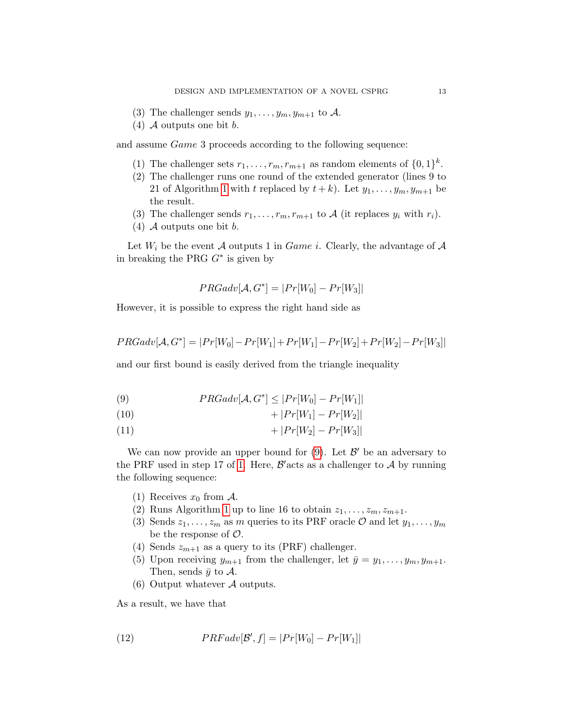- (3) The challenger sends  $y_1, \ldots, y_m, y_{m+1}$  to A.
- $(4)$  A outputs one bit b.

and assume Game 3 proceeds according to the following sequence:

- (1) The challenger sets  $r_1, \ldots, r_m, r_{m+1}$  as random elements of  $\{0, 1\}^k$ .
- (2) The challenger runs one round of the extended generator (lines 9 to 21 of Algorithm [1](#page-5-0) with t replaced by  $t + k$ ). Let  $y_1, \ldots, y_m, y_{m+1}$  be the result.
- (3) The challenger sends  $r_1, \ldots, r_m, r_{m+1}$  to A (it replaces  $y_i$  with  $r_i$ ).
- (4)  $\mathcal A$  outputs one bit  $b$ .

Let  $W_i$  be the event A outputs 1 in *Game i*. Clearly, the advantage of A in breaking the PRG  $G^*$  is given by

$$
PRGadv[\mathcal{A}, G^*] = |Pr[W_0] - Pr[W_3]|
$$

However, it is possible to express the right hand side as

$$
PRGadv[\mathcal{A}, G^*] = |Pr[W_0] - Pr[W_1] + Pr[W_1] - Pr[W_2] + Pr[W_2] - Pr[W_3]|
$$

and our first bound is easily derived from the triangle inequality

<span id="page-12-0"></span>(9) 
$$
PRGadv[\mathcal{A}, G^*] \le |Pr[W_0] - Pr[W_1]
$$

<span id="page-12-1"></span>
$$
(10) \t\t +|Pr[W_1] - Pr[W_2]|
$$

$$
(11) \t\t +|Pr[W_2]-Pr[W_3]|
$$

We can now provide an upper bound for  $(9)$ . Let  $\mathcal{B}'$  be an adversary to the PRF used in step 17 of [1.](#page-5-0) Here,  $\mathcal{B}'$  acts as a challenger to  $\mathcal{A}$  by running the following sequence:

- (1) Receives  $x_0$  from A.
- (2) Runs Algorithm [1](#page-5-0) up to line 16 to obtain  $z_1, \ldots, z_m, z_{m+1}$ .
- (3) Sends  $z_1, \ldots, z_m$  as m queries to its PRF oracle  $\mathcal{O}$  and let  $y_1, \ldots, y_m$ be the response of  $\mathcal{O}$ .
- (4) Sends  $z_{m+1}$  as a query to its (PRF) challenger.
- (5) Upon receiving  $y_{m+1}$  from the challenger, let  $\bar{y} = y_1, \ldots, y_m, y_{m+1}$ . Then, sends  $\bar{y}$  to  $\mathcal{A}$ .
- <span id="page-12-2"></span>(6) Output whatever A outputs.

As a result, we have that

(12) 
$$
PRFadv[\mathcal{B}', f] = |Pr[W_0] - Pr[W_1]|
$$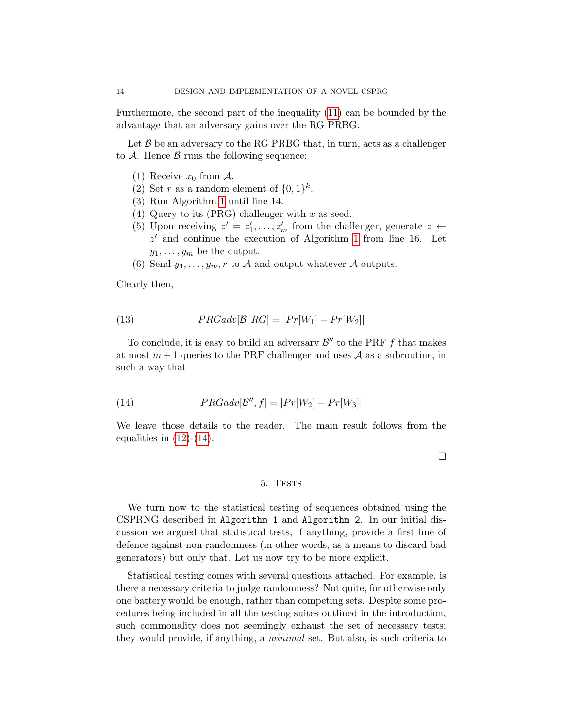Furthermore, the second part of the inequality [\(11\)](#page-12-1) can be bounded by the advantage that an adversary gains over the RG PRBG.

Let  $\beta$  be an adversary to the RG PRBG that, in turn, acts as a challenger to  $A$ . Hence  $B$  runs the following sequence:

- (1) Receive  $x_0$  from A.
- (2) Set r as a random element of  $\{0,1\}^k$ .
- (3) Run Algorithm [1](#page-5-0) until line 14.
- (4) Query to its (PRG) challenger with  $x$  as seed.
- (5) Upon receiving  $z' = z'_1, \ldots, z'_m$  from the challenger, generate  $z \leftarrow$  $z'$  and continue the execution of Algorithm [1](#page-5-0) from line 16. Let  $y_1, \ldots, y_m$  be the output.
- (6) Send  $y_1, \ldots, y_m, r$  to A and output whatever A outputs.

Clearly then,

(13) 
$$
PRGadv[\mathcal{B}, RG] = |Pr[W_1] - Pr[W_2]|
$$

To conclude, it is easy to build an adversary  $\mathcal{B}''$  to the PRF f that makes at most  $m+1$  queries to the PRF challenger and uses A as a subroutine, in such a way that

<span id="page-13-0"></span>(14) 
$$
PRGadv[\mathcal{B}'', f] = |Pr[W_2] - Pr[W_3]|
$$

We leave those details to the reader. The main result follows from the equalities in  $(12)-(14)$  $(12)-(14)$  $(12)-(14)$ .

□

# 5. TESTS

We turn now to the statistical testing of sequences obtained using the CSPRNG described in Algorithm 1 and Algorithm 2. In our initial discussion we argued that statistical tests, if anything, provide a first line of defence against non-randomness (in other words, as a means to discard bad generators) but only that. Let us now try to be more explicit.

Statistical testing comes with several questions attached. For example, is there a necessary criteria to judge randomness? Not quite, for otherwise only one battery would be enough, rather than competing sets. Despite some procedures being included in all the testing suites outlined in the introduction, such commonality does not seemingly exhaust the set of necessary tests; they would provide, if anything, a minimal set. But also, is such criteria to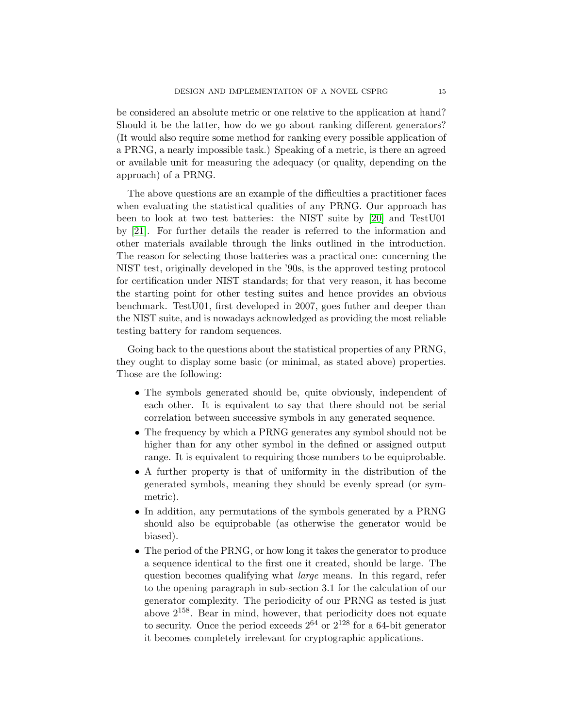be considered an absolute metric or one relative to the application at hand? Should it be the latter, how do we go about ranking different generators? (It would also require some method for ranking every possible application of a PRNG, a nearly impossible task.) Speaking of a metric, is there an agreed or available unit for measuring the adequacy (or quality, depending on the approach) of a PRNG.

The above questions are an example of the difficulties a practitioner faces when evaluating the statistical qualities of any PRNG. Our approach has been to look at two test batteries: the NIST suite by [\[20\]](#page-21-16) and TestU01 by [\[21\]](#page-22-0). For further details the reader is referred to the information and other materials available through the links outlined in the introduction. The reason for selecting those batteries was a practical one: concerning the NIST test, originally developed in the '90s, is the approved testing protocol for certification under NIST standards; for that very reason, it has become the starting point for other testing suites and hence provides an obvious benchmark. TestU01, first developed in 2007, goes futher and deeper than the NIST suite, and is nowadays acknowledged as providing the most reliable testing battery for random sequences.

Going back to the questions about the statistical properties of any PRNG, they ought to display some basic (or minimal, as stated above) properties. Those are the following:

- The symbols generated should be, quite obviously, independent of each other. It is equivalent to say that there should not be serial correlation between successive symbols in any generated sequence.
- The frequency by which a PRNG generates any symbol should not be higher than for any other symbol in the defined or assigned output range. It is equivalent to requiring those numbers to be equiprobable.
- A further property is that of uniformity in the distribution of the generated symbols, meaning they should be evenly spread (or symmetric).
- In addition, any permutations of the symbols generated by a PRNG should also be equiprobable (as otherwise the generator would be biased).
- The period of the PRNG, or how long it takes the generator to produce a sequence identical to the first one it created, should be large. The question becomes qualifying what large means. In this regard, refer to the opening paragraph in sub-section 3.1 for the calculation of our generator complexity. The periodicity of our PRNG as tested is just above  $2^{158}$ . Bear in mind, however, that periodicity does not equate to security. Once the period exceeds  $2^{64}$  or  $2^{128}$  for a 64-bit generator it becomes completely irrelevant for cryptographic applications.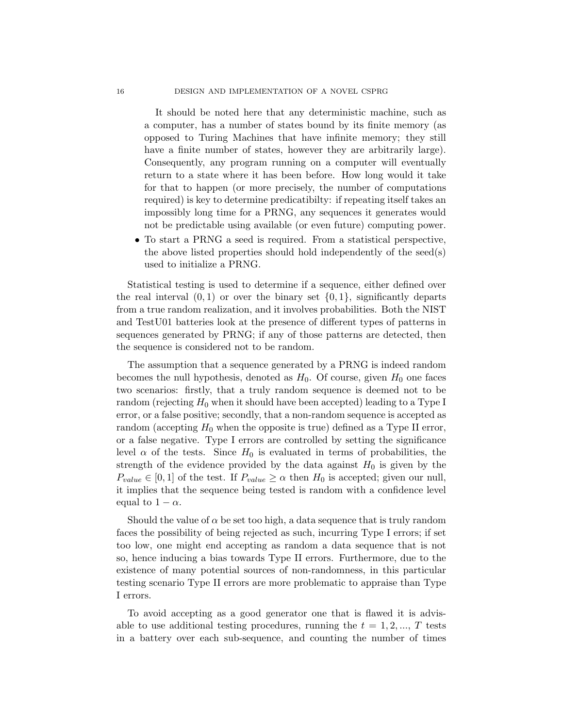It should be noted here that any deterministic machine, such as a computer, has a number of states bound by its finite memory (as opposed to Turing Machines that have infinite memory; they still have a finite number of states, however they are arbitrarily large). Consequently, any program running on a computer will eventually return to a state where it has been before. How long would it take for that to happen (or more precisely, the number of computations required) is key to determine predicatibilty: if repeating itself takes an impossibly long time for a PRNG, any sequences it generates would not be predictable using available (or even future) computing power.

• To start a PRNG a seed is required. From a statistical perspective, the above listed properties should hold independently of the seed(s) used to initialize a PRNG.

Statistical testing is used to determine if a sequence, either defined over the real interval  $(0, 1)$  or over the binary set  $\{0, 1\}$ , significantly departs from a true random realization, and it involves probabilities. Both the NIST and TestU01 batteries look at the presence of different types of patterns in sequences generated by PRNG; if any of those patterns are detected, then the sequence is considered not to be random.

The assumption that a sequence generated by a PRNG is indeed random becomes the null hypothesis, denoted as  $H_0$ . Of course, given  $H_0$  one faces two scenarios: firstly, that a truly random sequence is deemed not to be random (rejecting  $H_0$  when it should have been accepted) leading to a Type I error, or a false positive; secondly, that a non-random sequence is accepted as random (accepting  $H_0$  when the opposite is true) defined as a Type II error, or a false negative. Type I errors are controlled by setting the significance level  $\alpha$  of the tests. Since  $H_0$  is evaluated in terms of probabilities, the strength of the evidence provided by the data against  $H_0$  is given by the  $P_{value} \in [0, 1]$  of the test. If  $P_{value} \ge \alpha$  then  $H_0$  is accepted; given our null, it implies that the sequence being tested is random with a confidence level equal to  $1 - \alpha$ .

Should the value of  $\alpha$  be set too high, a data sequence that is truly random faces the possibility of being rejected as such, incurring Type I errors; if set too low, one might end accepting as random a data sequence that is not so, hence inducing a bias towards Type II errors. Furthermore, due to the existence of many potential sources of non-randomness, in this particular testing scenario Type II errors are more problematic to appraise than Type I errors.

To avoid accepting as a good generator one that is flawed it is advisable to use additional testing procedures, running the  $t = 1, 2, ..., T$  tests in a battery over each sub-sequence, and counting the number of times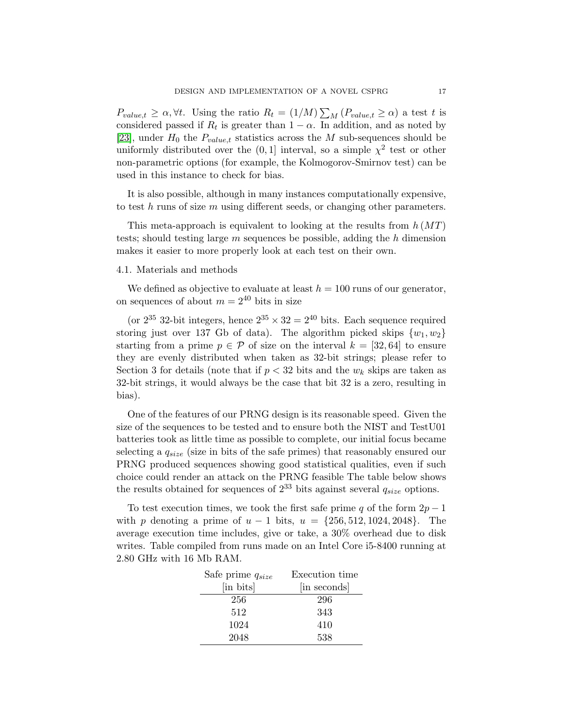$P_{value,t} \geq \alpha, \forall t$ . Using the ratio  $R_t = (1/M) \sum_M (P_{value,t} \geq \alpha)$  a test t is considered passed if  $R_t$  is greater than  $1 - \alpha$ . In addition, and as noted by [\[23\]](#page-22-1), under  $H_0$  the  $P_{value,t}$  statistics across the M sub-sequences should be uniformly distributed over the  $(0,1]$  interval, so a simple  $\chi^2$  test or other non-parametric options (for example, the Kolmogorov-Smirnov test) can be used in this instance to check for bias.

It is also possible, although in many instances computationally expensive, to test  $h$  runs of size  $m$  using different seeds, or changing other parameters.

This meta-approach is equivalent to looking at the results from  $h(MT)$ tests; should testing large  $m$  sequences be possible, adding the  $h$  dimension makes it easier to more properly look at each test on their own.

#### 4.1. Materials and methods

We defined as objective to evaluate at least  $h = 100$  runs of our generator, on sequences of about  $m = 2^{40}$  bits in size

(or  $2^{35}$  32-bit integers, hence  $2^{35} \times 32 = 2^{40}$  bits. Each sequence required storing just over 137 Gb of data). The algorithm picked skips  $\{w_1, w_2\}$ starting from a prime  $p \in \mathcal{P}$  of size on the interval  $k = [32, 64]$  to ensure they are evenly distributed when taken as 32-bit strings; please refer to Section 3 for details (note that if  $p < 32$  bits and the  $w_k$  skips are taken as 32-bit strings, it would always be the case that bit 32 is a zero, resulting in bias).

One of the features of our PRNG design is its reasonable speed. Given the size of the sequences to be tested and to ensure both the NIST and TestU01 batteries took as little time as possible to complete, our initial focus became selecting a  $q_{size}$  (size in bits of the safe primes) that reasonably ensured our PRNG produced sequences showing good statistical qualities, even if such choice could render an attack on the PRNG feasible The table below shows the results obtained for sequences of  $2^{33}$  bits against several  $q_{size}$  options.

To test execution times, we took the first safe prime q of the form  $2p-1$ with p denoting a prime of  $u - 1$  bits,  $u = \{256, 512, 1024, 2048\}$ . The average execution time includes, give or take, a 30% overhead due to disk writes. Table compiled from runs made on an Intel Core i5-8400 running at 2.80 GHz with 16 Mb RAM.

| Safe prime $q_{size}$ | Execution time |  |  |
|-----------------------|----------------|--|--|
| [in bits]             | in seconds     |  |  |
| 256                   | 296            |  |  |
| 512                   | 343            |  |  |
| 1024                  | 410            |  |  |
| 2048                  | 538            |  |  |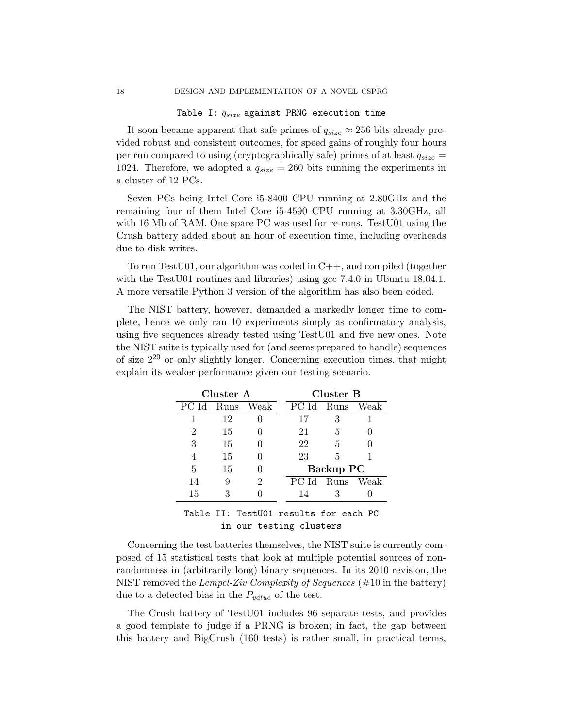#### Table I:  $q_{size}$  against PRNG execution time

It soon became apparent that safe primes of  $q_{size} \approx 256$  bits already provided robust and consistent outcomes, for speed gains of roughly four hours per run compared to using (cryptographically safe) primes of at least  $q_{size}$  = 1024. Therefore, we adopted a  $q_{size} = 260$  bits running the experiments in a cluster of 12 PCs.

Seven PCs being Intel Core i5-8400 CPU running at 2.80GHz and the remaining four of them Intel Core i5-4590 CPU running at 3.30GHz, all with 16 Mb of RAM. One spare PC was used for re-runs. TestU01 using the Crush battery added about an hour of execution time, including overheads due to disk writes.

To run Test U01, our algorithm was coded in  $C_{++}$ , and compiled (together with the TestU01 routines and libraries) using gcc 7.4.0 in Ubuntu 18.04.1. A more versatile Python 3 version of the algorithm has also been coded.

The NIST battery, however, demanded a markedly longer time to complete, hence we only ran 10 experiments simply as confirmatory analysis, using five sequences already tested using TestU01 and five new ones. Note the NIST suite is typically used for (and seems prepared to handle) sequences of size  $2^{20}$  or only slightly longer. Concerning execution times, that might explain its weaker performance given our testing scenario.

| Cluster A              |    |                    | Cluster B |                  |      |      |  |
|------------------------|----|--------------------|-----------|------------------|------|------|--|
| PCId                   |    | Runs Weak          |           | PC Id            | Runs | Weak |  |
|                        | 12 |                    |           | 17               | 3    |      |  |
| 2                      | 15 |                    |           | 21               | 5    |      |  |
| 3                      | 15 |                    |           | 22               | 5    |      |  |
| 4                      | 15 |                    |           | 23               | 5    |      |  |
| 5                      | 15 |                    |           | Backup PC        |      |      |  |
| 14                     | 9  | 2                  |           | PC Id Runs Weak  |      |      |  |
| 15                     | 3  |                    |           | 14               | 3    |      |  |
| <b>THE LAND THAT .</b> |    | <b>ㅠ</b> - -+TTA 4 |           | . <b>1 .</b> 2 . |      | מת   |  |

Table II: TestU01 results for each PC in our testing clusters

Concerning the test batteries themselves, the NIST suite is currently composed of 15 statistical tests that look at multiple potential sources of nonrandomness in (arbitrarily long) binary sequences. In its 2010 revision, the NIST removed the Lempel-Ziv Complexity of Sequences ( $\#10$  in the battery) due to a detected bias in the  $P_{value}$  of the test.

The Crush battery of TestU01 includes 96 separate tests, and provides a good template to judge if a PRNG is broken; in fact, the gap between this battery and BigCrush (160 tests) is rather small, in practical terms,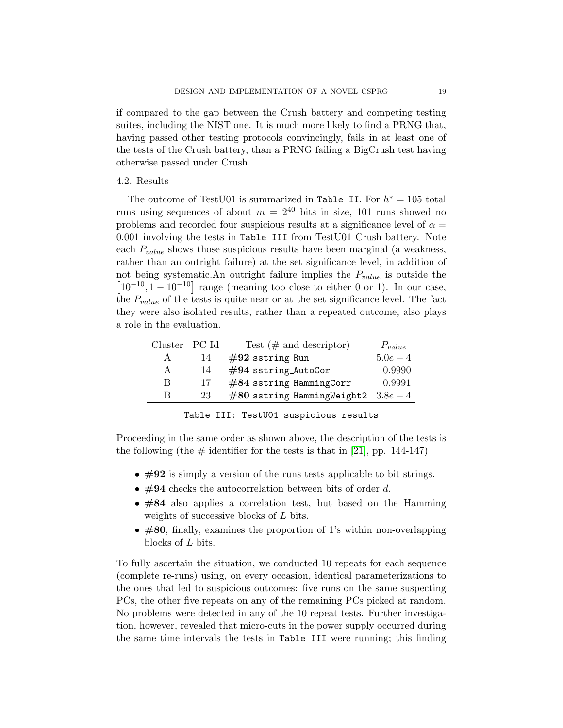if compared to the gap between the Crush battery and competing testing suites, including the NIST one. It is much more likely to find a PRNG that, having passed other testing protocols convincingly, fails in at least one of the tests of the Crush battery, than a PRNG failing a BigCrush test having otherwise passed under Crush.

# 4.2. Results

The outcome of TestU01 is summarized in Table II. For  $h^* = 105$  total runs using sequences of about  $m = 2^{40}$  bits in size, 101 runs showed no problems and recorded four suspicious results at a significance level of  $\alpha =$ 0.001 involving the tests in Table III from TestU01 Crush battery. Note each  $P_{value}$  shows those suspicious results have been marginal (a weakness, rather than an outright failure) at the set significance level, in addition of not being systematic.An outright failure implies the  $P_{value}$  is outside the  $\left[10^{-10}, 1-10^{-10}\right]$  range (meaning too close to either 0 or 1). In our case, the  $P_{value}$  of the tests is quite near or at the set significance level. The fact they were also isolated results, rather than a repeated outcome, also plays a role in the evaluation.

| Cluster PC Id |    | Test $(\#$ and descriptor)            | $P_{value}$ |
|---------------|----|---------------------------------------|-------------|
|               | 14 | $\#92$ sstring Run                    | $5.0e-4$    |
| A             | 14 | $\#94$ sstring AutoCor                | 0.9990      |
| В             | 17 | $#84$ sstring_HammingCorr             | 0.9991      |
| R             | 23 | $#80$ sstring_HammingWeight2 $3.8e-4$ |             |

Table III: TestU01 suspicious results

Proceeding in the same order as shown above, the description of the tests is the following (the  $\#$  identifier for the tests is that in [\[21\]](#page-22-0), pp. 144-147)

- $\#92$  is simply a version of the runs tests applicable to bit strings.
- $\#94$  checks the autocorrelation between bits of order d.
- #84 also applies a correlation test, but based on the Hamming weights of successive blocks of L bits.
- #80, finally, examines the proportion of 1's within non-overlapping blocks of L bits.

To fully ascertain the situation, we conducted 10 repeats for each sequence (complete re-runs) using, on every occasion, identical parameterizations to the ones that led to suspicious outcomes: five runs on the same suspecting PCs, the other five repeats on any of the remaining PCs picked at random. No problems were detected in any of the 10 repeat tests. Further investigation, however, revealed that micro-cuts in the power supply occurred during the same time intervals the tests in Table III were running; this finding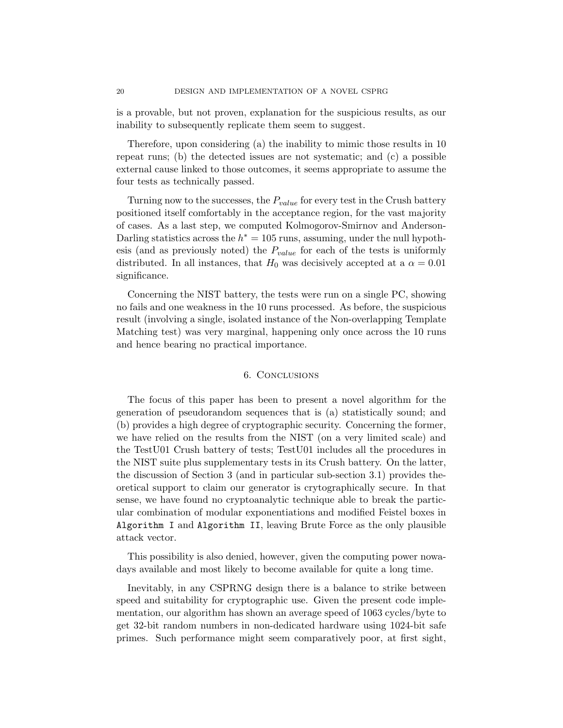is a provable, but not proven, explanation for the suspicious results, as our inability to subsequently replicate them seem to suggest.

Therefore, upon considering (a) the inability to mimic those results in 10 repeat runs; (b) the detected issues are not systematic; and (c) a possible external cause linked to those outcomes, it seems appropriate to assume the four tests as technically passed.

Turning now to the successes, the  $P_{value}$  for every test in the Crush battery positioned itself comfortably in the acceptance region, for the vast majority of cases. As a last step, we computed Kolmogorov-Smirnov and Anderson-Darling statistics across the  $h^* = 105$  runs, assuming, under the null hypothesis (and as previously noted) the  $P_{value}$  for each of the tests is uniformly distributed. In all instances, that  $H_0$  was decisively accepted at a  $\alpha = 0.01$ significance.

Concerning the NIST battery, the tests were run on a single PC, showing no fails and one weakness in the 10 runs processed. As before, the suspicious result (involving a single, isolated instance of the Non-overlapping Template Matching test) was very marginal, happening only once across the 10 runs and hence bearing no practical importance.

# 6. Conclusions

The focus of this paper has been to present a novel algorithm for the generation of pseudorandom sequences that is (a) statistically sound; and (b) provides a high degree of cryptographic security. Concerning the former, we have relied on the results from the NIST (on a very limited scale) and the TestU01 Crush battery of tests; TestU01 includes all the procedures in the NIST suite plus supplementary tests in its Crush battery. On the latter, the discussion of Section 3 (and in particular sub-section 3.1) provides theoretical support to claim our generator is crytographically secure. In that sense, we have found no cryptoanalytic technique able to break the particular combination of modular exponentiations and modified Feistel boxes in Algorithm I and Algorithm II, leaving Brute Force as the only plausible attack vector.

This possibility is also denied, however, given the computing power nowadays available and most likely to become available for quite a long time.

Inevitably, in any CSPRNG design there is a balance to strike between speed and suitability for cryptographic use. Given the present code implementation, our algorithm has shown an average speed of 1063 cycles/byte to get 32-bit random numbers in non-dedicated hardware using 1024-bit safe primes. Such performance might seem comparatively poor, at first sight,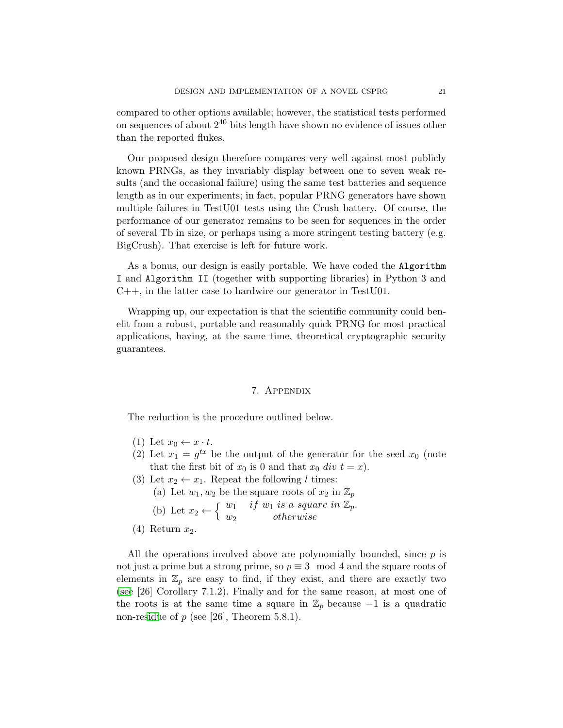compared to other options available; however, the statistical tests performed on sequences of about  $2^{40}$  bits length have shown no evidence of issues other than the reported flukes.

Our proposed design therefore compares very well against most publicly known PRNGs, as they invariably display between one to seven weak results (and the occasional failure) using the same test batteries and sequence length as in our experiments; in fact, popular PRNG generators have shown multiple failures in TestU01 tests using the Crush battery. Of course, the performance of our generator remains to be seen for sequences in the order of several Tb in size, or perhaps using a more stringent testing battery (e.g. BigCrush). That exercise is left for future work.

As a bonus, our design is easily portable. We have coded the Algorithm I and Algorithm II (together with supporting libraries) in Python 3 and C++, in the latter case to hardwire our generator in TestU01.

Wrapping up, our expectation is that the scientific community could benefit from a robust, portable and reasonably quick PRNG for most practical applications, having, at the same time, theoretical cryptographic security guarantees.

# 7. Appendix

The reduction is the procedure outlined below.

- (1) Let  $x_0 \leftarrow x \cdot t$ .
- (2) Let  $x_1 = g^{tx}$  be the output of the generator for the seed  $x_0$  (note that the first bit of  $x_0$  is 0 and that  $x_0$  div  $t = x$ ).
- (3) Let  $x_2 \leftarrow x_1$ . Repeat the following l times:
	- (a) Let  $w_1, w_2$  be the square roots of  $x_2$  in  $\mathbb{Z}_p$ (b) Let  $x_2 \leftarrow \{$  $w_1$  if  $w_1$  is a square in  $\overline{\mathbb{Z}}_p$ .

w <sup>2</sup> otherwise  $(4)$  Return  $x_2$ .

All the operations involved above are polynomially bounded, since  $p$  is not just a prime but a strong prime, so  $p \equiv 3 \mod 4$  and the square roots of elements in  $\mathbb{Z}_p$  are easy to find, if they exist, and there are exactly two [\(see](#page-22-2) [26] Corollary 7.1.2). Finally and for the same reason, at most one of the roots is at the same time a square in  $\mathbb{Z}_p$  because  $-1$  is a quadratic non-re[sidu](#page-22-2)e of  $p$  (see [26], Theorem 5.8.1).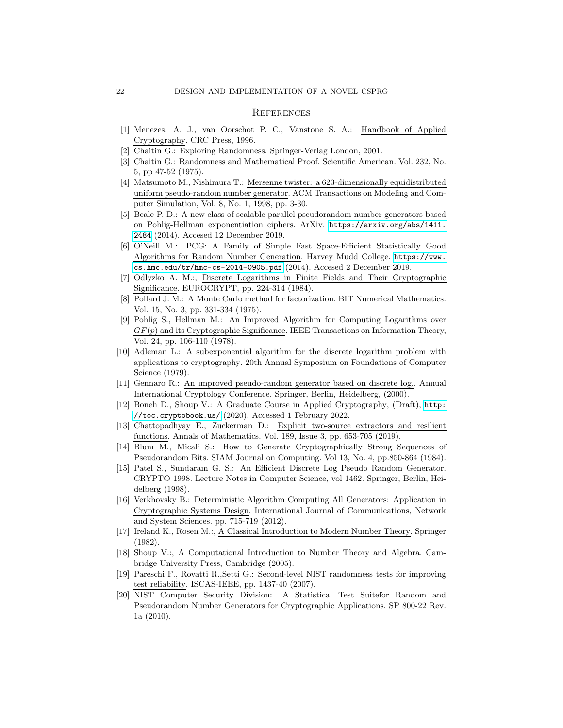## **REFERENCES**

- <span id="page-21-0"></span>[1] Menezes, A. J., van Oorschot P. C., Vanstone S. A.: Handbook of Applied Cryptography. CRC Press, 1996.
- <span id="page-21-1"></span>[2] Chaitin G.: Exploring Randomness. Springer-Verlag London, 2001.
- <span id="page-21-2"></span>[3] Chaitin G.: Randomness and Mathematical Proof. Scientific American. Vol. 232, No. 5, pp 47-52 (1975).
- <span id="page-21-4"></span>[4] Matsumoto M., Nishimura T.: Mersenne twister: a 623-dimensionally equidistributed uniform pseudo-random number generator. ACM Transactions on Modeling and Computer Simulation, Vol. 8, No. 1, 1998, pp. 3-30.
- <span id="page-21-8"></span>[5] Beale P. D.: A new class of scalable parallel pseudorandom number generators based on Pohlig-Hellman exponentiation ciphers. ArXiv. [https://arxiv.org/abs/1411.](https://arxiv.org/abs/1411.2484) [2484](https://arxiv.org/abs/1411.2484) (2014). Accesed 12 December 2019.
- <span id="page-21-3"></span>[6] O'Neill M.: PCG: A Family of Simple Fast Space-Efficient Statistically Good Algorithms for Random Number Generation. Harvey Mudd College. [https://www.](https://www.cs.hmc.edu/tr/hmc-cs-2014-0905.pdf) [cs.hmc.edu/tr/hmc-cs-2014-0905.pdf](https://www.cs.hmc.edu/tr/hmc-cs-2014-0905.pdf) (2014). Accesed 2 December 2019.
- <span id="page-21-10"></span>[7] Odlyzko A. M.:, Discrete Logarithms in Finite Fields and Their Cryptographic Significance. EUROCRYPT, pp. 224-314 (1984).
- <span id="page-21-11"></span>[8] Pollard J. M.: A Monte Carlo method for factorization. BIT Numerical Mathematics. Vol. 15, No. 3, pp. 331-334 (1975).
- <span id="page-21-12"></span>[9] Pohlig S., Hellman M.: An Improved Algorithm for Computing Logarithms over  $GF(p)$  and its Cryptographic Significance. IEEE Transactions on Information Theory, Vol. 24, pp. 106-110 (1978).
- <span id="page-21-13"></span>[10] Adleman L.: A subexponential algorithm for the discrete logarithm problem with applications to cryptography. 20th Annual Symposium on Foundations of Computer Science (1979).
- <span id="page-21-14"></span>[11] Gennaro R.: An improved pseudo-random generator based on discrete log.. Annual International Cryptology Conference. Springer, Berlin, Heidelberg, (2000).
- <span id="page-21-15"></span>[12] Boneh D., Shoup V.: A Graduate Course in Applied Cryptography, (Draft), [http:](http://toc.cryptobook.us/) [//toc.cryptobook.us/](http://toc.cryptobook.us/) (2020). Accessed 1 February 2022.
- <span id="page-21-5"></span>[13] Chattopadhyay E., Zuckerman D.: Explicit two-source extractors and resilient functions. Annals of Mathematics. Vol. 189, Issue 3, pp. 653-705 (2019).
- <span id="page-21-6"></span>[14] Blum M., Micali S.: How to Generate Cryptographically Strong Sequences of Pseudorandom Bits. SIAM Journal on Computing. Vol 13, No. 4, pp.850-864 (1984).
- <span id="page-21-7"></span>[15] Patel S., Sundaram G. S.: An Efficient Discrete Log Pseudo Random Generator. CRYPTO 1998. Lecture Notes in Computer Science, vol 1462. Springer, Berlin, Heidelberg (1998).
- <span id="page-21-9"></span>[16] Verkhovsky B.: Deterministic Algorithm Computing All Generators: Application in Cryptographic Systems Design. International Journal of Communications, Network and System Sciences. pp. 715-719 (2012).
- [17] Ireland K., Rosen M.:, A Classical Introduction to Modern Number Theory. Springer (1982).
- [18] Shoup V.:, A Computational Introduction to Number Theory and Algebra. Cambridge University Press, Cambridge (2005).
- [19] Pareschi F., Rovatti R.,Setti G.: Second-level NIST randomness tests for improving test reliability. ISCAS-IEEE, pp. 1437-40 (2007).
- <span id="page-21-16"></span>[20] NIST Computer Security Division: A Statistical Test Suitefor Random and Pseudorandom Number Generators for Cryptographic Applications. SP 800-22 Rev. 1a (2010).